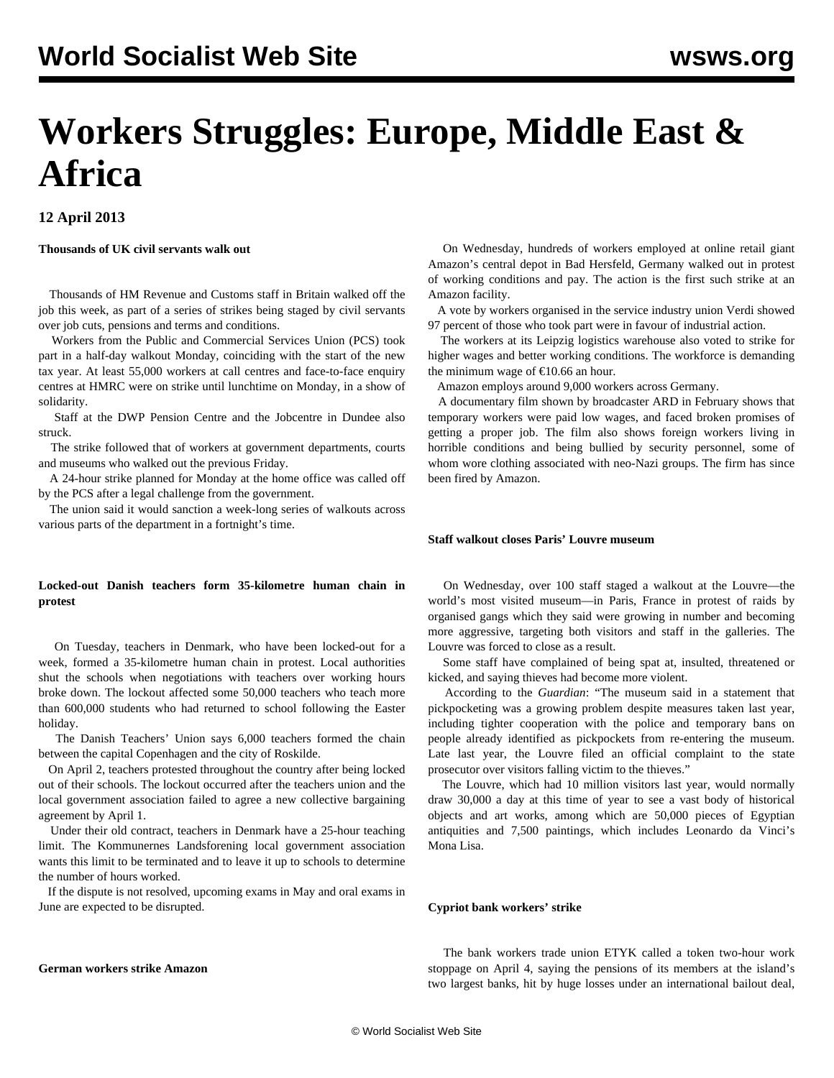# **Workers Struggles: Europe, Middle East & Africa**

# **12 April 2013**

## **Thousands of UK civil servants walk out**

 Thousands of HM Revenue and Customs staff in Britain walked off the job this week, as part of a series of strikes being staged by civil servants over job cuts, pensions and terms and conditions.

 Workers from the Public and Commercial Services Union (PCS) took part in a half-day walkout Monday, coinciding with the start of the new tax year. At least 55,000 workers at call centres and face-to-face enquiry centres at HMRC were on strike until lunchtime on Monday, in a show of solidarity.

 Staff at the DWP Pension Centre and the Jobcentre in Dundee also struck.

 The strike followed that of workers at government departments, courts and museums who walked out the previous Friday.

 A 24-hour strike planned for Monday at the home office was called off by the PCS after a legal challenge from the government.

 The union said it would sanction a week-long series of walkouts across various parts of the department in a fortnight's time.

### **Locked-out Danish teachers form 35-kilometre human chain in protest**

 On Tuesday, teachers in Denmark, who have been locked-out for a week, formed a 35-kilometre human chain in protest. Local authorities shut the schools when negotiations with teachers over working hours broke down. The lockout affected some 50,000 teachers who teach more than 600,000 students who had returned to school following the Easter holiday.

 The Danish Teachers' Union says 6,000 teachers formed the chain between the capital Copenhagen and the city of Roskilde.

 On April 2, teachers protested throughout the country after being locked out of their schools. The lockout occurred after the teachers union and the local government association failed to agree a new collective bargaining agreement by April 1.

 Under their old contract, teachers in Denmark have a 25-hour teaching limit. The Kommunernes Landsforening local government association wants this limit to be terminated and to leave it up to schools to determine the number of hours worked.

 If the dispute is not resolved, upcoming exams in May and oral exams in June are expected to be disrupted.

# **German workers strike Amazon**

 On Wednesday, hundreds of workers employed at online retail giant Amazon's central depot in Bad Hersfeld, Germany walked out in protest of working conditions and pay. The action is the first such strike at an Amazon facility.

 A vote by workers organised in the service industry union Verdi showed 97 percent of those who took part were in favour of industrial action.

 The workers at its Leipzig logistics warehouse also voted to strike for higher wages and better working conditions. The workforce is demanding the minimum wage of  $£10.66$  an hour.

Amazon employs around 9,000 workers across Germany.

 A documentary film shown by broadcaster ARD in February shows that temporary workers were paid low wages, and faced broken promises of getting a proper job. The film also shows foreign workers living in horrible conditions and being bullied by security personnel, some of whom wore clothing associated with neo-Nazi groups. The firm has since been fired by Amazon.

## **Staff walkout closes Paris' Louvre museum**

 On Wednesday, over 100 staff staged a walkout at the Louvre—the world's most visited museum—in Paris, France in protest of raids by organised gangs which they said were growing in number and becoming more aggressive, targeting both visitors and staff in the galleries. The Louvre was forced to close as a result.

 Some staff have complained of being spat at, insulted, threatened or kicked, and saying thieves had become more violent.

 According to the *Guardian*: "The museum said in a statement that pickpocketing was a growing problem despite measures taken last year, including tighter cooperation with the police and temporary bans on people already identified as pickpockets from re-entering the museum. Late last year, the Louvre filed an official complaint to the state prosecutor over visitors falling victim to the thieves."

 The Louvre, which had 10 million visitors last year, would normally draw 30,000 a day at this time of year to see a vast body of historical objects and art works, among which are 50,000 pieces of Egyptian antiquities and 7,500 paintings, which includes Leonardo da Vinci's Mona Lisa.

## **Cypriot bank workers' strike**

 The bank workers trade union ETYK called a token two-hour work stoppage on April 4, saying the pensions of its members at the island's two largest banks, hit by huge losses under an international bailout deal,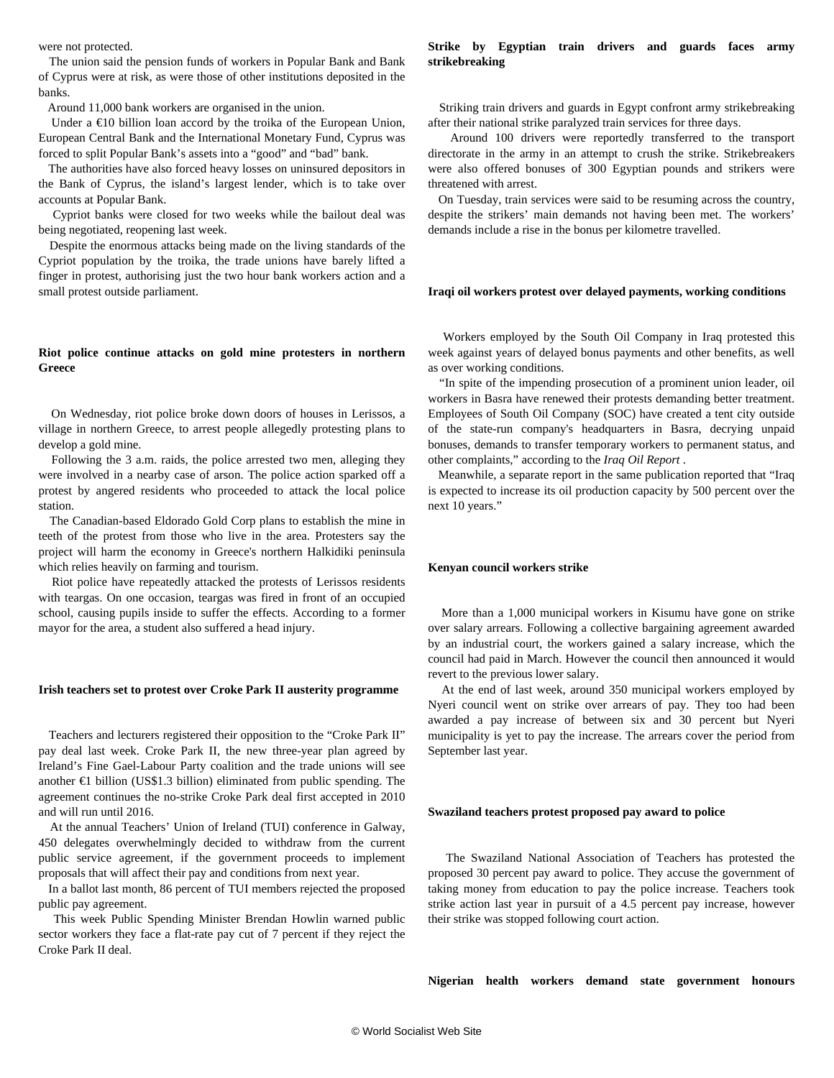were not protected.

 The union said the pension funds of workers in Popular Bank and Bank of Cyprus were at risk, as were those of other institutions deposited in the banks.

Around 11,000 bank workers are organised in the union.

Under a  $\epsilon$ 10 billion loan accord by the troika of the European Union, European Central Bank and the International Monetary Fund, Cyprus was forced to split Popular Bank's assets into a "good" and "bad" bank.

 The authorities have also forced heavy losses on uninsured depositors in the Bank of Cyprus, the island's largest lender, which is to take over accounts at Popular Bank.

 Cypriot banks were closed for two weeks while the bailout deal was being negotiated, reopening last week.

 Despite the enormous attacks being made on the living standards of the Cypriot population by the troika, the trade unions have barely lifted a finger in protest, authorising just the two hour bank workers action and a small protest outside parliament.

#### **Riot police continue attacks on gold mine protesters in northern Greece**

 On Wednesday, riot police broke down doors of houses in Lerissos, a village in northern Greece, to arrest people allegedly protesting plans to develop a gold mine.

 Following the 3 a.m. raids, the police arrested two men, alleging they were involved in a nearby case of arson. The police action sparked off a protest by angered residents who proceeded to attack the local police station.

 The Canadian-based Eldorado Gold Corp plans to establish the mine in teeth of the protest from those who live in the area. Protesters say the project will harm the economy in Greece's northern Halkidiki peninsula which relies heavily on farming and tourism.

 Riot police have repeatedly attacked the protests of Lerissos residents with teargas. On one occasion, teargas was fired in front of an occupied school, causing pupils inside to suffer the effects. According to a former mayor for the area, a student also suffered a head injury.

#### **Irish teachers set to protest over Croke Park II austerity programme**

 Teachers and lecturers registered their opposition to the "Croke Park II" pay deal last week. Croke Park II, the new three-year plan agreed by Ireland's Fine Gael-Labour Party coalition and the trade unions will see another €1 billion (US\$1.3 billion) eliminated from public spending. The agreement continues the no-strike Croke Park deal first accepted in 2010 and will run until 2016.

 At the annual Teachers' Union of Ireland (TUI) conference in Galway, 450 delegates overwhelmingly decided to withdraw from the current public service agreement, if the government proceeds to implement proposals that will affect their pay and conditions from next year.

 In a ballot last month, 86 percent of TUI members rejected the proposed public pay agreement.

 This week Public Spending Minister Brendan Howlin warned public sector workers they face a flat-rate pay cut of 7 percent if they reject the Croke Park II deal.

#### **Strike by Egyptian train drivers and guards faces army strikebreaking**

 Striking train drivers and guards in Egypt confront army strikebreaking after their national strike paralyzed train services for three days.

 Around 100 drivers were reportedly transferred to the transport directorate in the army in an attempt to crush the strike. Strikebreakers were also offered bonuses of 300 Egyptian pounds and strikers were threatened with arrest.

 On Tuesday, train services were said to be resuming across the country, despite the strikers' main demands not having been met. The workers' demands include a rise in the bonus per kilometre travelled.

#### **Iraqi oil workers protest over delayed payments, working conditions**

 Workers employed by the South Oil Company in Iraq protested this week against years of delayed bonus payments and other benefits, as well as over working conditions.

 "In spite of the impending prosecution of a prominent union leader, oil workers in Basra have renewed their protests demanding better treatment. Employees of South Oil Company (SOC) have created a tent city outside of the state-run company's headquarters in Basra, decrying unpaid bonuses, demands to transfer temporary workers to permanent status, and other complaints," according to the *Iraq Oil Report* .

 Meanwhile, a separate report in the same publication reported that "Iraq is expected to increase its oil production capacity by 500 percent over the next 10 years."

#### **Kenyan council workers strike**

 More than a 1,000 municipal workers in Kisumu have gone on strike over salary arrears. Following a collective bargaining agreement awarded by an industrial court, the workers gained a salary increase, which the council had paid in March. However the council then announced it would revert to the previous lower salary.

 At the end of last week, around 350 municipal workers employed by Nyeri council went on strike over arrears of pay. They too had been awarded a pay increase of between six and 30 percent but Nyeri municipality is yet to pay the increase. The arrears cover the period from September last year.

#### **Swaziland teachers protest proposed pay award to police**

 The Swaziland National Association of Teachers has protested the proposed 30 percent pay award to police. They accuse the government of taking money from education to pay the police increase. Teachers took strike action last year in pursuit of a 4.5 percent pay increase, however their strike was stopped following court action.

**Nigerian health workers demand state government honours**